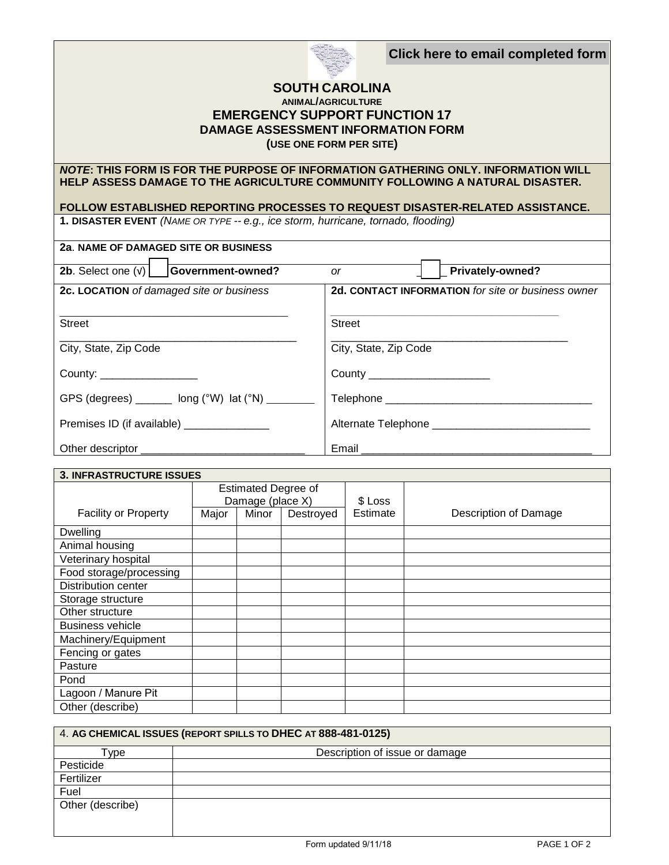**Click here to email completed form**



## **SOUTH CAROLINA ANIMAL/AGRICULTURE EMERGENCY SUPPORT FUNCTION 17 DAMAGE ASSESSMENT INFORMATION FORM (USE ONE FORM PER SITE)**

## *NOTE***: THIS FORM IS FOR THE PURPOSE OF INFORMATION GATHERING ONLY. INFORMATION WILL HELP ASSESS DAMAGE TO THE AGRICULTURE COMMUNITY FOLLOWING A NATURAL DISASTER.**

## **FOLLOW ESTABLISHED REPORTING PROCESSES TO REQUEST DISASTER-RELATED ASSISTANCE.**

**1. DISASTER EVENT** *(NAME OR TYPE -- e.g., ice storm, hurricane, tornado, flooding)*

| 2a. NAME OF DAMAGED SITE OR BUSINESS                                                                                                                                                                                          |                                                    |
|-------------------------------------------------------------------------------------------------------------------------------------------------------------------------------------------------------------------------------|----------------------------------------------------|
| 2b. Select one $(v)$ Government-owned?                                                                                                                                                                                        | Privately-owned?<br><b>or</b>                      |
| 2c. LOCATION of damaged site or business                                                                                                                                                                                      | 2d. CONTACT INFORMATION for site or business owner |
| <b>Street</b>                                                                                                                                                                                                                 | <b>Street</b>                                      |
| City, State, Zip Code                                                                                                                                                                                                         | City, State, Zip Code                              |
| County: the country of the country of the country of the country of the country of the country of the country of the country of the country of the country of the country of the country of the country of the country of the | County _______________________                     |
| GPS (degrees) $\frac{1}{2}$ long (°W) lat (°N) $\frac{1}{2}$                                                                                                                                                                  | Telephone ________________________________         |
| Premises ID (if available) _______________                                                                                                                                                                                    |                                                    |
|                                                                                                                                                                                                                               |                                                    |

| <b>3. INFRASTRUCTURE ISSUES</b> |                                                |       |           |          |                       |
|---------------------------------|------------------------------------------------|-------|-----------|----------|-----------------------|
|                                 | <b>Estimated Degree of</b><br>Damage (place X) |       | \$ Loss   |          |                       |
| <b>Facility or Property</b>     | Major                                          | Minor | Destroyed | Estimate | Description of Damage |
| <b>Dwelling</b>                 |                                                |       |           |          |                       |
| Animal housing                  |                                                |       |           |          |                       |
| Veterinary hospital             |                                                |       |           |          |                       |
| Food storage/processing         |                                                |       |           |          |                       |
| Distribution center             |                                                |       |           |          |                       |
| Storage structure               |                                                |       |           |          |                       |
| Other structure                 |                                                |       |           |          |                       |
| <b>Business vehicle</b>         |                                                |       |           |          |                       |
| Machinery/Equipment             |                                                |       |           |          |                       |
| Fencing or gates                |                                                |       |           |          |                       |
| Pasture                         |                                                |       |           |          |                       |
| Pond                            |                                                |       |           |          |                       |
| Lagoon / Manure Pit             |                                                |       |           |          |                       |
| Other (describe)                |                                                |       |           |          |                       |

| 4. AG CHEMICAL ISSUES (REPORT SPILLS TO DHEC AT 888-481-0125) |                                |  |  |
|---------------------------------------------------------------|--------------------------------|--|--|
| Гуре                                                          | Description of issue or damage |  |  |
| Pesticide                                                     |                                |  |  |
| Fertilizer                                                    |                                |  |  |
| Fuel                                                          |                                |  |  |
| Other (describe)                                              |                                |  |  |
|                                                               |                                |  |  |
|                                                               |                                |  |  |